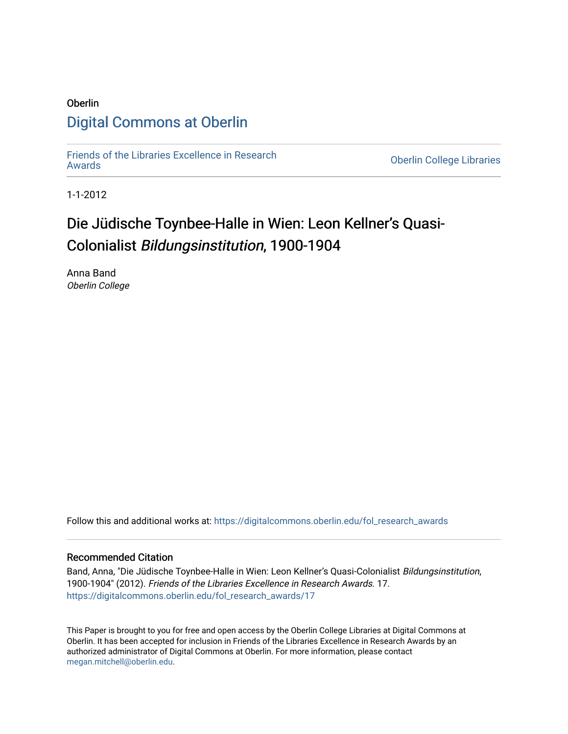## Oberlin [Digital Commons at Oberlin](https://digitalcommons.oberlin.edu/)

[Friends of the Libraries Excellence in Research](https://digitalcommons.oberlin.edu/fol_research_awards)

**Oberlin College Libraries** 

1-1-2012

# Die Jüdische Toynbee-Halle in Wien: Leon Kellner's Quasi-Colonialist Bildungsinstitution, 1900-1904

Anna Band Oberlin College

Follow this and additional works at: [https://digitalcommons.oberlin.edu/fol\\_research\\_awards](https://digitalcommons.oberlin.edu/fol_research_awards?utm_source=digitalcommons.oberlin.edu%2Ffol_research_awards%2F17&utm_medium=PDF&utm_campaign=PDFCoverPages)

#### Recommended Citation

Band, Anna, "Die Jüdische Toynbee-Halle in Wien: Leon Kellner's Quasi-Colonialist Bildungsinstitution, 1900-1904" (2012). Friends of the Libraries Excellence in Research Awards. 17. [https://digitalcommons.oberlin.edu/fol\\_research\\_awards/17](https://digitalcommons.oberlin.edu/fol_research_awards/17?utm_source=digitalcommons.oberlin.edu%2Ffol_research_awards%2F17&utm_medium=PDF&utm_campaign=PDFCoverPages) 

This Paper is brought to you for free and open access by the Oberlin College Libraries at Digital Commons at Oberlin. It has been accepted for inclusion in Friends of the Libraries Excellence in Research Awards by an authorized administrator of Digital Commons at Oberlin. For more information, please contact [megan.mitchell@oberlin.edu](mailto:megan.mitchell@oberlin.edu).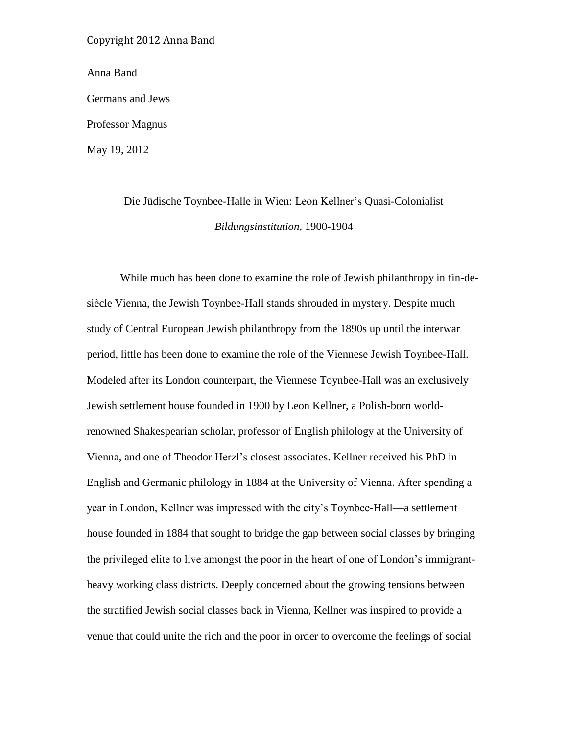Anna Band

Germans and Jews

Professor Magnus

May 19, 2012

## Die Jüdische Toynbee-Halle in Wien: Leon Kellner's Quasi-Colonialist *Bildungsinstitution,* 1900-1904

While much has been done to examine the role of Jewish philanthropy in fin-desiècle Vienna, the Jewish Toynbee-Hall stands shrouded in mystery. Despite much study of Central European Jewish philanthropy from the 1890s up until the interwar period, little has been done to examine the role of the Viennese Jewish Toynbee-Hall. Modeled after its London counterpart, the Viennese Toynbee-Hall was an exclusively Jewish settlement house founded in 1900 by Leon Kellner, a Polish-born worldrenowned Shakespearian scholar, professor of English philology at the University of Vienna, and one of Theodor Herzl's closest associates. Kellner received his PhD in English and Germanic philology in 1884 at the University of Vienna. After spending a year in London, Kellner was impressed with the city's Toynbee-Hall—a settlement house founded in 1884 that sought to bridge the gap between social classes by bringing the privileged elite to live amongst the poor in the heart of one of London's immigrantheavy working class districts. Deeply concerned about the growing tensions between the stratified Jewish social classes back in Vienna, Kellner was inspired to provide a venue that could unite the rich and the poor in order to overcome the feelings of social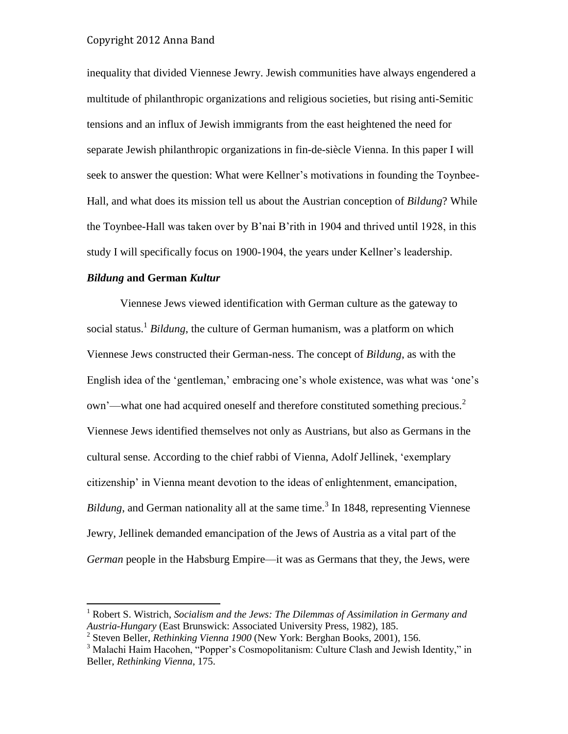inequality that divided Viennese Jewry. Jewish communities have always engendered a multitude of philanthropic organizations and religious societies, but rising anti-Semitic tensions and an influx of Jewish immigrants from the east heightened the need for separate Jewish philanthropic organizations in fin-de-siècle Vienna. In this paper I will seek to answer the question: What were Kellner's motivations in founding the Toynbee-Hall, and what does its mission tell us about the Austrian conception of *Bildung*? While the Toynbee-Hall was taken over by B'nai B'rith in 1904 and thrived until 1928, in this study I will specifically focus on 1900-1904, the years under Kellner's leadership.

#### *Bildung* **and German** *Kultur*

 $\overline{a}$ 

Viennese Jews viewed identification with German culture as the gateway to social status.<sup>1</sup> Bildung, the culture of German humanism, was a platform on which Viennese Jews constructed their German-ness. The concept of *Bildung*, as with the English idea of the 'gentleman,' embracing one's whole existence, was what was 'one's own'—what one had acquired oneself and therefore constituted something precious.<sup>2</sup> Viennese Jews identified themselves not only as Austrians, but also as Germans in the cultural sense. According to the chief rabbi of Vienna, Adolf Jellinek, 'exemplary citizenship' in Vienna meant devotion to the ideas of enlightenment, emancipation, Bildung, and German nationality all at the same time.<sup>3</sup> In 1848, representing Viennese Jewry, Jellinek demanded emancipation of the Jews of Austria as a vital part of the *German* people in the Habsburg Empire—it was as Germans that they, the Jews, were

<sup>1</sup> Robert S. Wistrich, *Socialism and the Jews: The Dilemmas of Assimilation in Germany and Austria-Hungary* (East Brunswick: Associated University Press, 1982), 185.

<sup>2</sup> Steven Beller, *Rethinking Vienna 1900* (New York: Berghan Books, 2001), 156.

<sup>&</sup>lt;sup>3</sup> Malachi Haim Hacohen, "Popper's Cosmopolitanism: Culture Clash and Jewish Identity," in Beller, *Rethinking Vienna*, 175.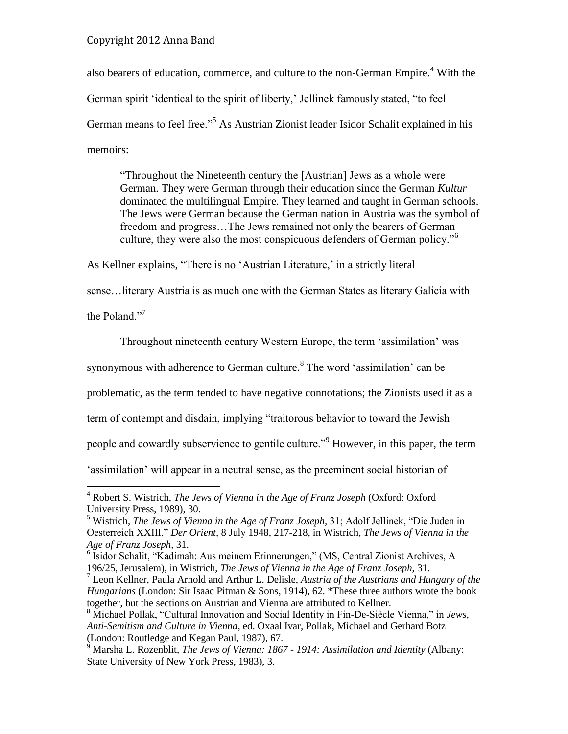also bearers of education, commerce, and culture to the non-German Empire.<sup>4</sup> With the German spirit 'identical to the spirit of liberty,' Jellinek famously stated, "to feel German means to feel free."<sup>5</sup> As Austrian Zionist leader Isidor Schalit explained in his memoirs:

"Throughout the Nineteenth century the [Austrian] Jews as a whole were German. They were German through their education since the German *Kultur* dominated the multilingual Empire. They learned and taught in German schools. The Jews were German because the German nation in Austria was the symbol of freedom and progress…The Jews remained not only the bearers of German culture, they were also the most conspicuous defenders of German policy."<sup>6</sup>

As Kellner explains, "There is no 'Austrian Literature,' in a strictly literal

sense…literary Austria is as much one with the German States as literary Galicia with

the Poland."<sup>7</sup>

 $\overline{a}$ 

Throughout nineteenth century Western Europe, the term 'assimilation' was

synonymous with adherence to German culture.<sup>8</sup> The word 'assimilation' can be

problematic, as the term tended to have negative connotations; the Zionists used it as a

term of contempt and disdain, implying "traitorous behavior to toward the Jewish

people and cowardly subservience to gentile culture.<sup>"9</sup> However, in this paper, the term

'assimilation' will appear in a neutral sense, as the preeminent social historian of

<sup>4</sup> Robert S. Wistrich, *The Jews of Vienna in the Age of Franz Joseph* (Oxford: Oxford University Press, 1989), 30.

<sup>5</sup> Wistrich, *The Jews of Vienna in the Age of Franz Joseph,* 31; Adolf Jellinek, "Die Juden in Oesterreich XXIII," *Der Orient,* 8 July 1948, 217-218, in Wistrich, *The Jews of Vienna in the Age of Franz Joseph,* 31.

<sup>6</sup> Isidor Schalit, "Kadimah: Aus meinem Erinnerungen," (MS, Central Zionist Archives, A 196/25, Jerusalem), in Wistrich, *The Jews of Vienna in the Age of Franz Joseph,* 31.

<sup>7</sup> Leon Kellner, Paula Arnold and Arthur L. Delisle, *Austria of the Austrians and Hungary of the Hungarians* (London: Sir Isaac Pitman & Sons, 1914), 62. \*These three authors wrote the book together, but the sections on Austrian and Vienna are attributed to Kellner.

<sup>8</sup> Michael Pollak, "Cultural Innovation and Social Identity in Fin-De-Siècle Vienna," in *Jews, Anti-Semitism and Culture in Vienna*, ed. Oxaal Ivar, Pollak, Michael and Gerhard Botz (London: Routledge and Kegan Paul, 1987), 67.

<sup>9</sup> Marsha L. Rozenblit, *The Jews of Vienna: 1867 - 1914: Assimilation and Identity* (Albany: State University of New York Press, 1983), 3.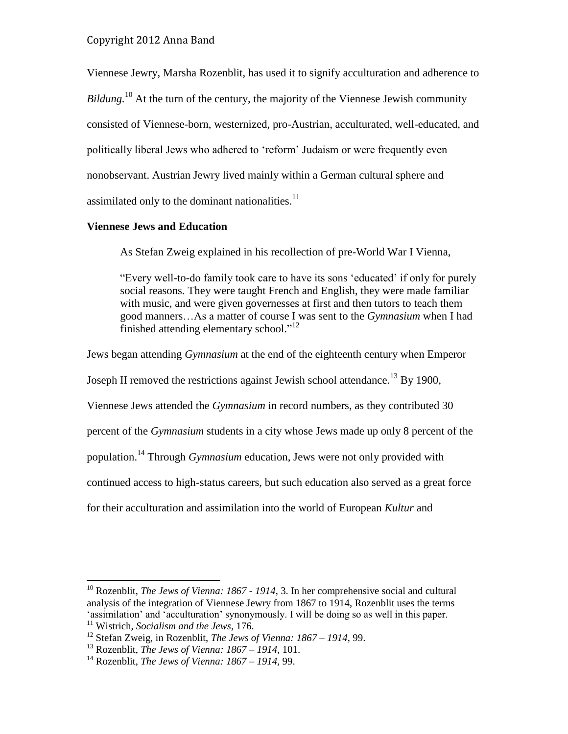Viennese Jewry, Marsha Rozenblit, has used it to signify acculturation and adherence to *Bildung*.<sup>10</sup> At the turn of the century, the majority of the Viennese Jewish community consisted of Viennese-born, westernized, pro-Austrian, acculturated, well-educated, and politically liberal Jews who adhered to 'reform' Judaism or were frequently even nonobservant. Austrian Jewry lived mainly within a German cultural sphere and assimilated only to the dominant nationalities.<sup>11</sup>

#### **Viennese Jews and Education**

As Stefan Zweig explained in his recollection of pre-World War I Vienna,

"Every well-to-do family took care to have its sons 'educated' if only for purely social reasons. They were taught French and English, they were made familiar with music, and were given governesses at first and then tutors to teach them good manners…As a matter of course I was sent to the *Gymnasium* when I had finished attending elementary school."<sup>12</sup>

Jews began attending *Gymnasium* at the end of the eighteenth century when Emperor

Joseph II removed the restrictions against Jewish school attendance.<sup>13</sup> By 1900,

Viennese Jews attended the *Gymnasium* in record numbers, as they contributed 30

percent of the *Gymnasium* students in a city whose Jews made up only 8 percent of the

population.<sup>14</sup> Through *Gymnasium* education, Jews were not only provided with

continued access to high-status careers, but such education also served as a great force

for their acculturation and assimilation into the world of European *Kultur* and

<sup>10</sup> Rozenblit, *The Jews of Vienna: 1867 - 1914*, 3. In her comprehensive social and cultural analysis of the integration of Viennese Jewry from 1867 to 1914, Rozenblit uses the terms 'assimilation' and 'acculturation' synonymously. I will be doing so as well in this paper. <sup>11</sup> Wistrich, *Socialism and the Jews*, 176.

<sup>12</sup> Stefan Zweig, in Rozenblit, *The Jews of Vienna: 1867 – 1914,* 99.

<sup>13</sup> Rozenblit, *The Jews of Vienna: 1867 – 1914,* 101.

<sup>14</sup> Rozenblit, *The Jews of Vienna: 1867 – 1914,* 99.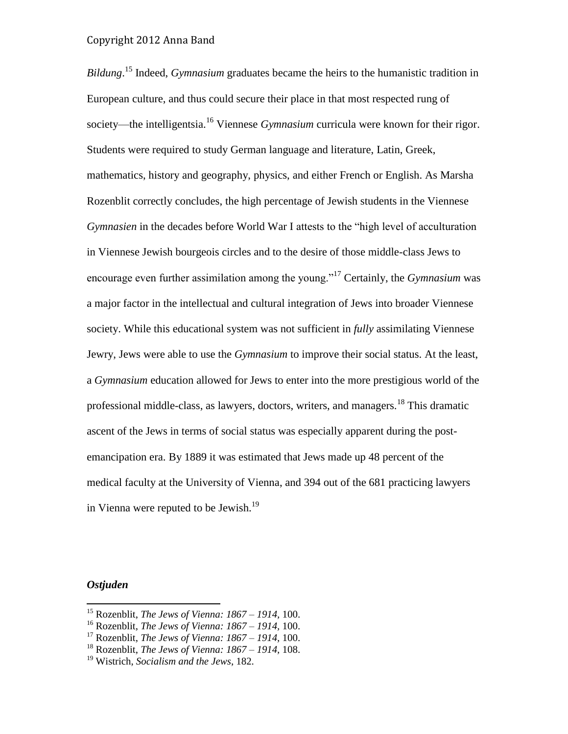*Bildung*. <sup>15</sup> Indeed, *Gymnasium* graduates became the heirs to the humanistic tradition in European culture, and thus could secure their place in that most respected rung of society—the intelligentsia.<sup>16</sup> Viennese *Gymnasium* curricula were known for their rigor. Students were required to study German language and literature, Latin, Greek, mathematics, history and geography, physics, and either French or English. As Marsha Rozenblit correctly concludes, the high percentage of Jewish students in the Viennese *Gymnasien* in the decades before World War I attests to the "high level of acculturation in Viennese Jewish bourgeois circles and to the desire of those middle-class Jews to encourage even further assimilation among the young."<sup>17</sup> Certainly, the *Gymnasium* was a major factor in the intellectual and cultural integration of Jews into broader Viennese society. While this educational system was not sufficient in *fully* assimilating Viennese Jewry, Jews were able to use the *Gymnasium* to improve their social status. At the least, a *Gymnasium* education allowed for Jews to enter into the more prestigious world of the professional middle-class, as lawyers, doctors, writers, and managers.<sup>18</sup> This dramatic ascent of the Jews in terms of social status was especially apparent during the postemancipation era. By 1889 it was estimated that Jews made up 48 percent of the medical faculty at the University of Vienna, and 394 out of the 681 practicing lawyers in Vienna were reputed to be Jewish.<sup>19</sup>

#### *Ostjuden*

<sup>15</sup> Rozenblit, *The Jews of Vienna: 1867 – 1914,* 100.

<sup>16</sup> Rozenblit, *The Jews of Vienna: 1867 – 1914,* 100.

<sup>17</sup> Rozenblit, *The Jews of Vienna: 1867 – 1914,* 100.

<sup>18</sup> Rozenblit, *The Jews of Vienna: 1867 – 1914,* 108.

<sup>19</sup> Wistrich, *Socialism and the Jews*, 182.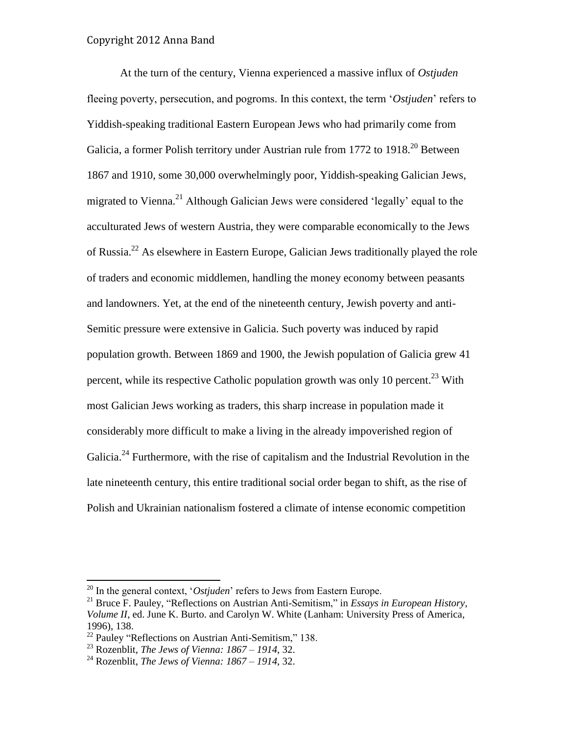At the turn of the century, Vienna experienced a massive influx of *Ostjuden* fleeing poverty, persecution, and pogroms. In this context, the term '*Ostjuden*' refers to Yiddish-speaking traditional Eastern European Jews who had primarily come from Galicia, a former Polish territory under Austrian rule from  $1772$  to  $1918$ <sup>20</sup> Between 1867 and 1910, some 30,000 overwhelmingly poor, Yiddish-speaking Galician Jews, migrated to Vienna.<sup>21</sup> Although Galician Jews were considered 'legally' equal to the acculturated Jews of western Austria, they were comparable economically to the Jews of Russia.<sup>22</sup> As elsewhere in Eastern Europe, Galician Jews traditionally played the role of traders and economic middlemen, handling the money economy between peasants and landowners. Yet, at the end of the nineteenth century, Jewish poverty and anti-Semitic pressure were extensive in Galicia. Such poverty was induced by rapid population growth. Between 1869 and 1900, the Jewish population of Galicia grew 41 percent, while its respective Catholic population growth was only 10 percent.<sup>23</sup> With most Galician Jews working as traders, this sharp increase in population made it considerably more difficult to make a living in the already impoverished region of Galicia.<sup>24</sup> Furthermore, with the rise of capitalism and the Industrial Revolution in the late nineteenth century, this entire traditional social order began to shift, as the rise of Polish and Ukrainian nationalism fostered a climate of intense economic competition

<sup>20</sup> In the general context, '*Ostjuden*' refers to Jews from Eastern Europe.

<sup>21</sup> Bruce F. Pauley, "Reflections on Austrian Anti-Semitism," in *Essays in European History, Volume II*, ed. June K. Burto. and Carolyn W. White (Lanham: University Press of America, 1996), 138.

 $22$  Pauley "Reflections on Austrian Anti-Semitism," 138.

<sup>23</sup> Rozenblit, *The Jews of Vienna: 1867 – 1914*, 32.

<sup>24</sup> Rozenblit, *The Jews of Vienna: 1867 – 1914*, 32.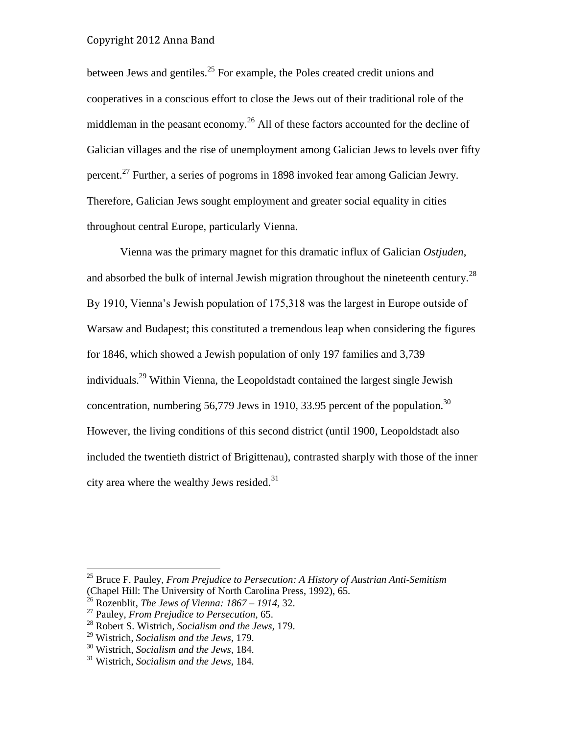between Jews and gentiles.<sup>25</sup> For example, the Poles created credit unions and cooperatives in a conscious effort to close the Jews out of their traditional role of the middleman in the peasant economy.<sup>26</sup> All of these factors accounted for the decline of Galician villages and the rise of unemployment among Galician Jews to levels over fifty percent.<sup>27</sup> Further, a series of pogroms in 1898 invoked fear among Galician Jewry. Therefore, Galician Jews sought employment and greater social equality in cities throughout central Europe, particularly Vienna.

Vienna was the primary magnet for this dramatic influx of Galician *Ostjuden*, and absorbed the bulk of internal Jewish migration throughout the nineteenth century.<sup>28</sup> By 1910, Vienna's Jewish population of 175,318 was the largest in Europe outside of Warsaw and Budapest; this constituted a tremendous leap when considering the figures for 1846, which showed a Jewish population of only 197 families and 3,739 individuals.<sup>29</sup> Within Vienna, the Leopoldstadt contained the largest single Jewish concentration, numbering 56,779 Jews in 1910, 33.95 percent of the population.<sup>30</sup> However, the living conditions of this second district (until 1900, Leopoldstadt also included the twentieth district of Brigittenau), contrasted sharply with those of the inner city area where the wealthy Jews resided. $31$ 

<sup>25</sup> Bruce F. Pauley, *From Prejudice to Persecution: A History of Austrian Anti-Semitism* (Chapel Hill: The University of North Carolina Press, 1992), 65.

<sup>26</sup> Rozenblit, *The Jews of Vienna: 1867 – 1914*, 32.

<sup>27</sup> Pauley, *From Prejudice to Persecution*, 65.

<sup>28</sup> Robert S. Wistrich, *Socialism and the Jews,* 179.

<sup>29</sup> Wistrich, *Socialism and the Jews,* 179.

<sup>30</sup> Wistrich, *Socialism and the Jews,* 184.

<sup>31</sup> Wistrich, *Socialism and the Jews,* 184.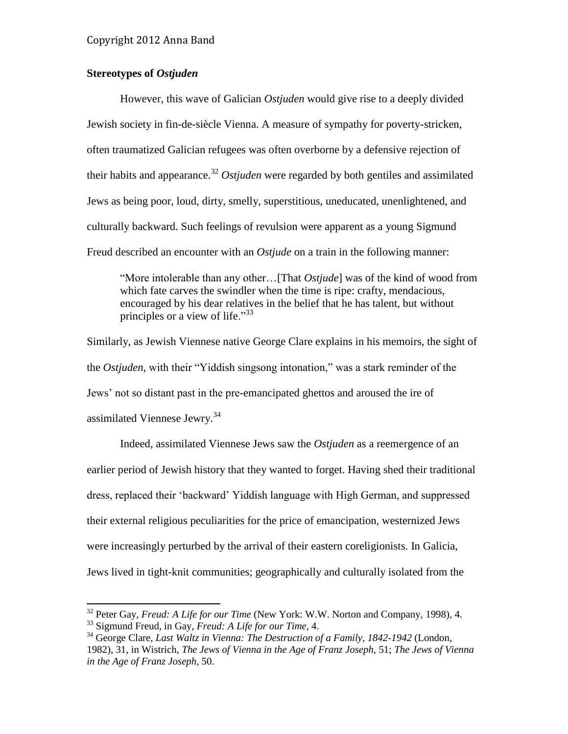#### **Stereotypes of** *Ostjuden*

However, this wave of Galician *Ostjuden* would give rise to a deeply divided Jewish society in fin-de-siècle Vienna. A measure of sympathy for poverty-stricken, often traumatized Galician refugees was often overborne by a defensive rejection of their habits and appearance.<sup>32</sup> *Ostjuden* were regarded by both gentiles and assimilated Jews as being poor, loud, dirty, smelly, superstitious, uneducated, unenlightened, and culturally backward. Such feelings of revulsion were apparent as a young Sigmund Freud described an encounter with an *Ostjude* on a train in the following manner:

"More intolerable than any other…[That *Ostjude*] was of the kind of wood from which fate carves the swindler when the time is ripe: crafty, mendacious, encouraged by his dear relatives in the belief that he has talent, but without principles or a view of life." $33$ 

Similarly, as Jewish Viennese native George Clare explains in his memoirs, the sight of the *Ostjuden,* with their "Yiddish singsong intonation," was a stark reminder of the Jews' not so distant past in the pre-emancipated ghettos and aroused the ire of assimilated Viennese Jewry.<sup>34</sup>

Indeed, assimilated Viennese Jews saw the *Ostjuden* as a reemergence of an earlier period of Jewish history that they wanted to forget. Having shed their traditional dress, replaced their 'backward' Yiddish language with High German, and suppressed their external religious peculiarities for the price of emancipation, westernized Jews were increasingly perturbed by the arrival of their eastern coreligionists. In Galicia, Jews lived in tight-knit communities; geographically and culturally isolated from the

<sup>32</sup> Peter Gay, *Freud: A Life for our Time* (New York: W.W. Norton and Company, 1998), 4.

<sup>33</sup> Sigmund Freud, in Gay, *Freud: A Life for our Time,* 4.

<sup>34</sup> George Clare, *Last Waltz in Vienna: The Destruction of a Family, 1842-1942* (London, 1982), 31, in Wistrich, *The Jews of Vienna in the Age of Franz Joseph,* 51; *The Jews of Vienna in the Age of Franz Joseph,* 50.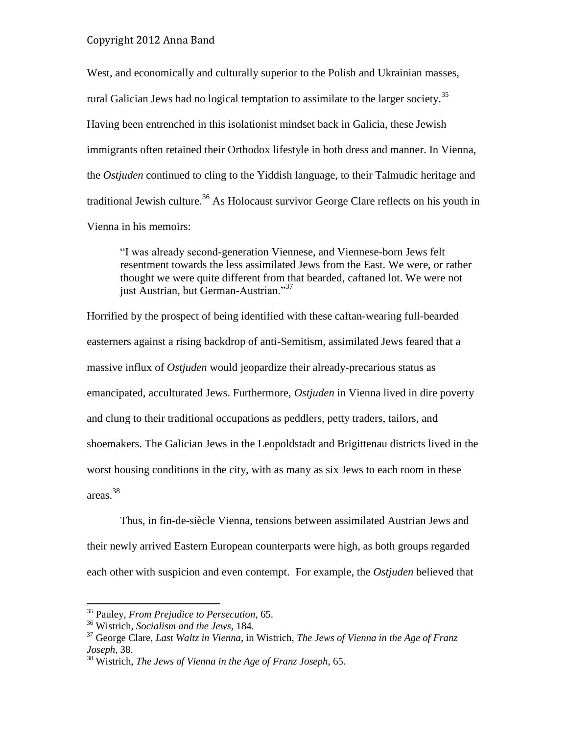West, and economically and culturally superior to the Polish and Ukrainian masses, rural Galician Jews had no logical temptation to assimilate to the larger society.<sup>35</sup> Having been entrenched in this isolationist mindset back in Galicia, these Jewish immigrants often retained their Orthodox lifestyle in both dress and manner. In Vienna, the *Ostjuden* continued to cling to the Yiddish language, to their Talmudic heritage and traditional Jewish culture.<sup>36</sup> As Holocaust survivor George Clare reflects on his youth in Vienna in his memoirs:

"I was already second-generation Viennese, and Viennese-born Jews felt resentment towards the less assimilated Jews from the East. We were, or rather thought we were quite different from that bearded, caftaned lot. We were not just Austrian, but German-Austrian."<sup>37</sup>

Horrified by the prospect of being identified with these caftan-wearing full-bearded easterners against a rising backdrop of anti-Semitism, assimilated Jews feared that a massive influx of *Ostjuden* would jeopardize their already-precarious status as emancipated, acculturated Jews. Furthermore, *Ostjuden* in Vienna lived in dire poverty and clung to their traditional occupations as peddlers, petty traders, tailors, and shoemakers. The Galician Jews in the Leopoldstadt and Brigittenau districts lived in the worst housing conditions in the city, with as many as six Jews to each room in these areas.<sup>38</sup>

Thus, in fin-de-siècle Vienna, tensions between assimilated Austrian Jews and their newly arrived Eastern European counterparts were high, as both groups regarded each other with suspicion and even contempt. For example, the *Ostjuden* believed that

<sup>35</sup> Pauley, *From Prejudice to Persecution*, 65.

<sup>36</sup> Wistrich, *Socialism and the Jews,* 184.

<sup>37</sup> George Clare, *Last Waltz in Vienna*, in Wistrich, *The Jews of Vienna in the Age of Franz Joseph,* 38.

<sup>38</sup> Wistrich, *The Jews of Vienna in the Age of Franz Joseph*, 65.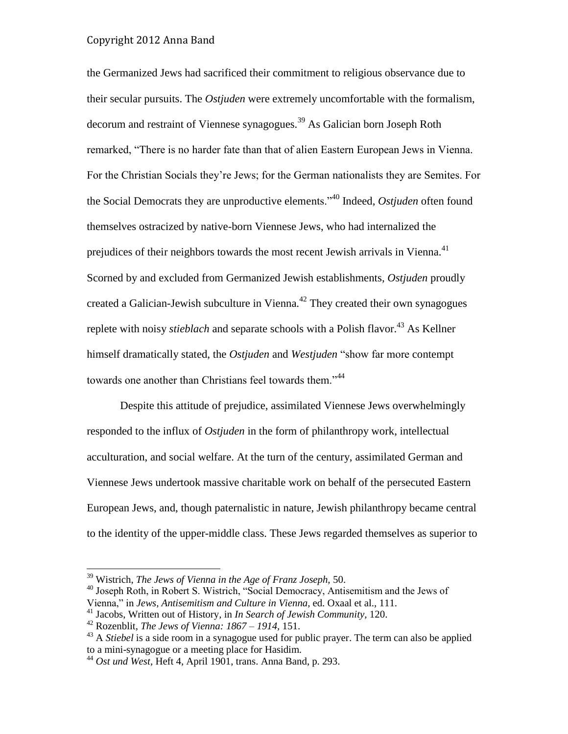the Germanized Jews had sacrificed their commitment to religious observance due to their secular pursuits. The *Ostjuden* were extremely uncomfortable with the formalism, decorum and restraint of Viennese synagogues.<sup>39</sup> As Galician born Joseph Roth remarked, "There is no harder fate than that of alien Eastern European Jews in Vienna. For the Christian Socials they're Jews; for the German nationalists they are Semites. For the Social Democrats they are unproductive elements."<sup>40</sup> Indeed, *Ostjuden* often found themselves ostracized by native-born Viennese Jews, who had internalized the prejudices of their neighbors towards the most recent Jewish arrivals in Vienna.<sup>41</sup> Scorned by and excluded from Germanized Jewish establishments, *Ostjuden* proudly created a Galician-Jewish subculture in Vienna.<sup>42</sup> They created their own synagogues replete with noisy *stieblach* and separate schools with a Polish flavor.<sup>43</sup> As Kellner himself dramatically stated, the *Ostjuden* and *Westjuden* "show far more contempt towards one another than Christians feel towards them."<sup>44</sup>

Despite this attitude of prejudice, assimilated Viennese Jews overwhelmingly responded to the influx of *Ostjuden* in the form of philanthropy work, intellectual acculturation, and social welfare. At the turn of the century, assimilated German and Viennese Jews undertook massive charitable work on behalf of the persecuted Eastern European Jews, and, though paternalistic in nature, Jewish philanthropy became central to the identity of the upper-middle class. These Jews regarded themselves as superior to

<sup>39</sup> Wistrich, *The Jews of Vienna in the Age of Franz Joseph,* 50.

<sup>&</sup>lt;sup>40</sup> Joseph Roth, in Robert S. Wistrich, "Social Democracy, Antisemitism and the Jews of Vienna," in *Jews, Antisemitism and Culture in Vienna,* ed. Oxaal et al., 111.

<sup>41</sup> Jacobs, Written out of History*,* in *In Search of Jewish Community,* 120.

<sup>42</sup> Rozenblit, *The Jews of Vienna: 1867 – 1914,* 151.

<sup>&</sup>lt;sup>43</sup> A *Stiebel* is a side room in a synagogue used for public prayer. The term can also be applied to a mini-synagogue or a meeting place for Hasidim.

<sup>44</sup> *Ost und West,* Heft 4, April 1901, trans. Anna Band, p. 293.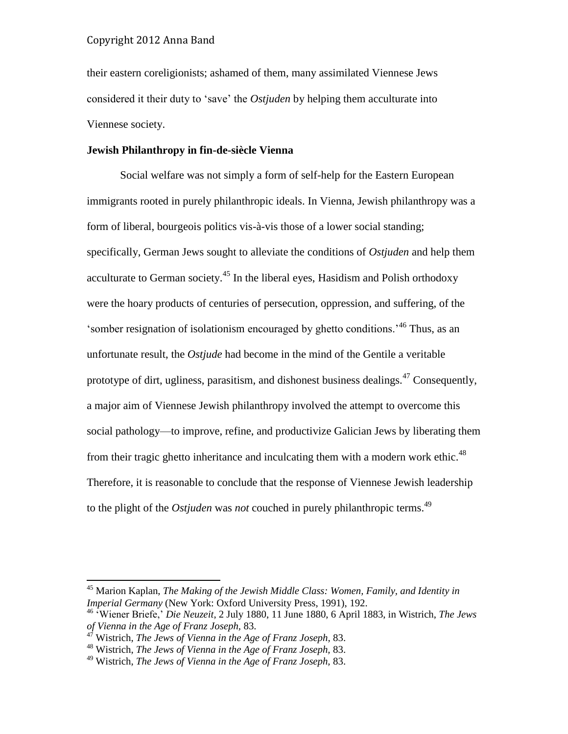their eastern coreligionists; ashamed of them, many assimilated Viennese Jews considered it their duty to 'save' the *Ostjuden* by helping them acculturate into Viennese society.

#### **Jewish Philanthropy in fin-de-siècle Vienna**

Social welfare was not simply a form of self-help for the Eastern European immigrants rooted in purely philanthropic ideals. In Vienna, Jewish philanthropy was a form of liberal, bourgeois politics vis-à-vis those of a lower social standing; specifically, German Jews sought to alleviate the conditions of *Ostjuden* and help them acculturate to German society.<sup>45</sup> In the liberal eyes, Hasidism and Polish orthodoxy were the hoary products of centuries of persecution, oppression, and suffering, of the 'somber resignation of isolationism encouraged by ghetto conditions.'<sup>46</sup> Thus, as an unfortunate result, the *Ostjude* had become in the mind of the Gentile a veritable prototype of dirt, ugliness, parasitism, and dishonest business dealings.<sup>47</sup> Consequently, a major aim of Viennese Jewish philanthropy involved the attempt to overcome this social pathology—to improve, refine, and productivize Galician Jews by liberating them from their tragic ghetto inheritance and inculcating them with a modern work ethic.<sup>48</sup> Therefore, it is reasonable to conclude that the response of Viennese Jewish leadership to the plight of the *Ostjuden* was *not* couched in purely philanthropic terms.<sup>49</sup>

<sup>45</sup> Marion Kaplan, *The Making of the Jewish Middle Class: Women, Family, and Identity in Imperial Germany* (New York: Oxford University Press, 1991), 192.

<sup>46</sup> 'Wiener Briefe,' *Die Neuzeit*, 2 July 1880, 11 June 1880, 6 April 1883, in Wistrich, *The Jews of Vienna in the Age of Franz Joseph,* 83.

<sup>47</sup> Wistrich, *The Jews of Vienna in the Age of Franz Joseph,* 83.

<sup>48</sup> Wistrich, *The Jews of Vienna in the Age of Franz Joseph,* 83.

<sup>49</sup> Wistrich, *The Jews of Vienna in the Age of Franz Joseph,* 83.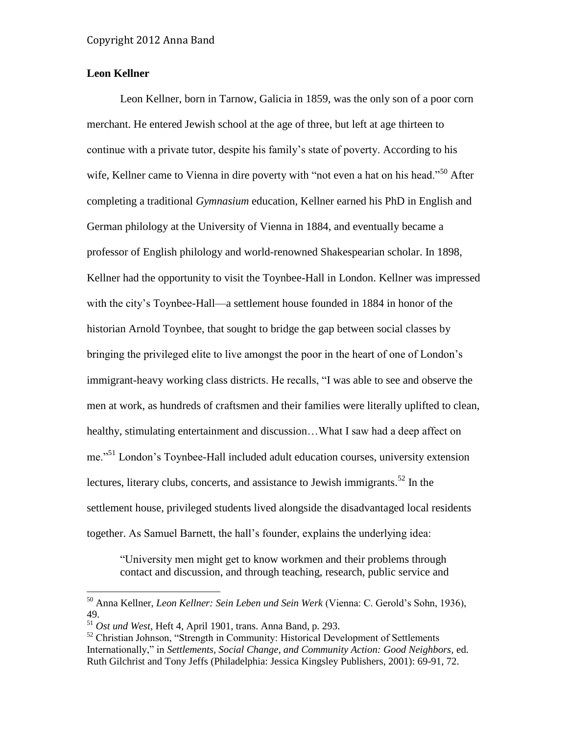## **Leon Kellner**

Leon Kellner, born in Tarnow, Galicia in 1859, was the only son of a poor corn merchant. He entered Jewish school at the age of three, but left at age thirteen to continue with a private tutor, despite his family's state of poverty. According to his wife, Kellner came to Vienna in dire poverty with "not even a hat on his head."<sup>50</sup> After completing a traditional *Gymnasium* education, Kellner earned his PhD in English and German philology at the University of Vienna in 1884, and eventually became a professor of English philology and world-renowned Shakespearian scholar. In 1898, Kellner had the opportunity to visit the Toynbee-Hall in London. Kellner was impressed with the city's Toynbee-Hall—a settlement house founded in 1884 in honor of the historian Arnold Toynbee, that sought to bridge the gap between social classes by bringing the privileged elite to live amongst the poor in the heart of one of London's immigrant-heavy working class districts. He recalls, "I was able to see and observe the men at work, as hundreds of craftsmen and their families were literally uplifted to clean, healthy, stimulating entertainment and discussion...What I saw had a deep affect on me."<sup>51</sup> London's Toynbee-Hall included adult education courses, university extension lectures, literary clubs, concerts, and assistance to Jewish immigrants.<sup>52</sup> In the settlement house, privileged students lived alongside the disadvantaged local residents together. As Samuel Barnett, the hall's founder, explains the underlying idea:

"University men might get to know workmen and their problems through contact and discussion, and through teaching, research, public service and

<sup>50</sup> Anna Kellner, *Leon Kellner: Sein Leben und Sein Werk* (Vienna: C. Gerold's Sohn, 1936), 49.

<sup>51</sup> *Ost und West*, Heft 4, April 1901, trans. Anna Band, p. 293.

<sup>&</sup>lt;sup>52</sup> Christian Johnson, "Strength in Community: Historical Development of Settlements Internationally," in *Settlements, Social Change, and Community Action: Good Neighbors,* ed. Ruth Gilchrist and Tony Jeffs (Philadelphia: Jessica Kingsley Publishers, 2001): 69-91, 72.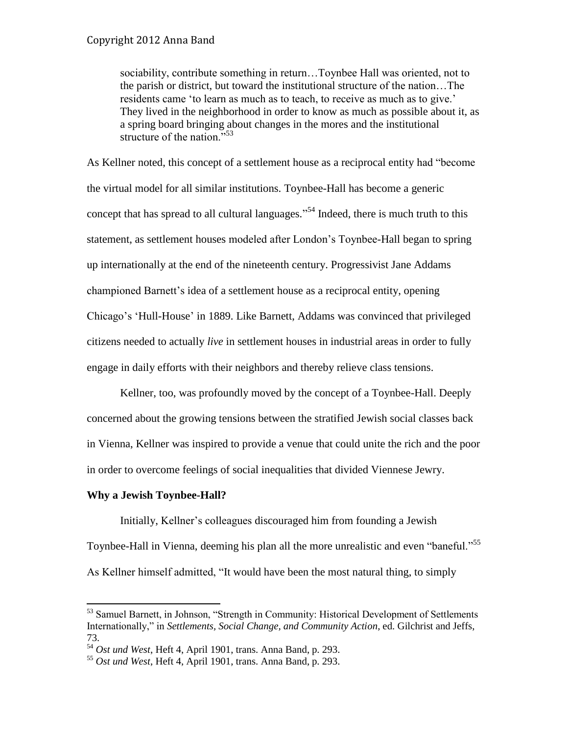sociability, contribute something in return…Toynbee Hall was oriented, not to the parish or district, but toward the institutional structure of the nation…The residents came 'to learn as much as to teach, to receive as much as to give.' They lived in the neighborhood in order to know as much as possible about it, as a spring board bringing about changes in the mores and the institutional structure of the nation."<sup>53</sup>

As Kellner noted, this concept of a settlement house as a reciprocal entity had "become the virtual model for all similar institutions. Toynbee-Hall has become a generic concept that has spread to all cultural languages."<sup>54</sup> Indeed, there is much truth to this statement, as settlement houses modeled after London's Toynbee-Hall began to spring up internationally at the end of the nineteenth century. Progressivist Jane Addams championed Barnett's idea of a settlement house as a reciprocal entity, opening Chicago's 'Hull-House' in 1889. Like Barnett, Addams was convinced that privileged citizens needed to actually *live* in settlement houses in industrial areas in order to fully engage in daily efforts with their neighbors and thereby relieve class tensions.

Kellner, too, was profoundly moved by the concept of a Toynbee-Hall. Deeply concerned about the growing tensions between the stratified Jewish social classes back in Vienna, Kellner was inspired to provide a venue that could unite the rich and the poor in order to overcome feelings of social inequalities that divided Viennese Jewry.

#### **Why a Jewish Toynbee-Hall?**

 $\overline{a}$ 

Initially, Kellner's colleagues discouraged him from founding a Jewish Toynbee-Hall in Vienna, deeming his plan all the more unrealistic and even "baneful."<sup>55</sup> As Kellner himself admitted, "It would have been the most natural thing, to simply

<sup>&</sup>lt;sup>53</sup> Samuel Barnett, in Johnson, "Strength in Community: Historical Development of Settlements Internationally," in *Settlements, Social Change, and Community Action*, ed. Gilchrist and Jeffs, 73.

<sup>54</sup> *Ost und West*, Heft 4, April 1901, trans. Anna Band, p. 293.

<sup>55</sup> *Ost und West*, Heft 4, April 1901, trans. Anna Band, p. 293.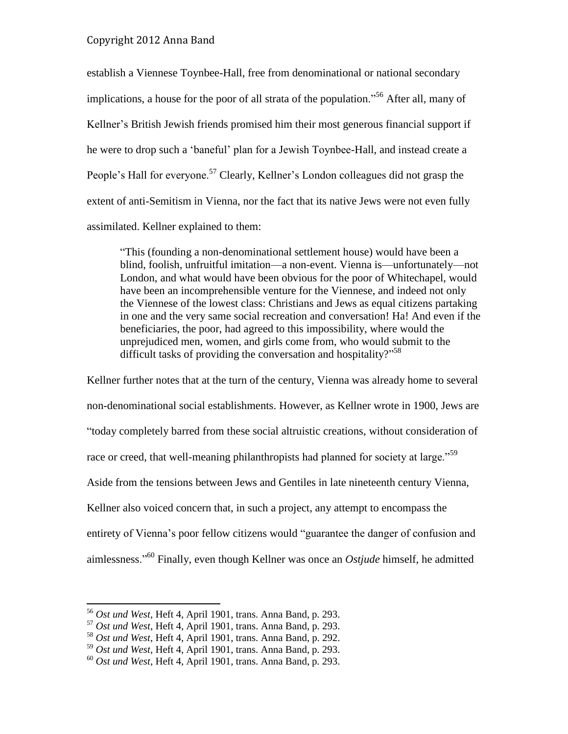establish a Viennese Toynbee-Hall, free from denominational or national secondary implications, a house for the poor of all strata of the population."<sup>56</sup> After all, many of Kellner's British Jewish friends promised him their most generous financial support if he were to drop such a 'baneful' plan for a Jewish Toynbee-Hall, and instead create a People's Hall for everyone.<sup>57</sup> Clearly, Kellner's London colleagues did not grasp the extent of anti-Semitism in Vienna, nor the fact that its native Jews were not even fully assimilated. Kellner explained to them:

"This (founding a non-denominational settlement house) would have been a blind, foolish, unfruitful imitation—a non-event. Vienna is—unfortunately—not London, and what would have been obvious for the poor of Whitechapel, would have been an incomprehensible venture for the Viennese, and indeed not only the Viennese of the lowest class: Christians and Jews as equal citizens partaking in one and the very same social recreation and conversation! Ha! And even if the beneficiaries, the poor, had agreed to this impossibility, where would the unprejudiced men, women, and girls come from, who would submit to the difficult tasks of providing the conversation and hospitality?"<sup>58</sup>

Kellner further notes that at the turn of the century, Vienna was already home to several non-denominational social establishments. However, as Kellner wrote in 1900, Jews are "today completely barred from these social altruistic creations, without consideration of race or creed, that well-meaning philanthropists had planned for society at large."<sup>59</sup> Aside from the tensions between Jews and Gentiles in late nineteenth century Vienna, Kellner also voiced concern that, in such a project, any attempt to encompass the entirety of Vienna's poor fellow citizens would "guarantee the danger of confusion and aimlessness."<sup>60</sup> Finally, even though Kellner was once an *Ostjude* himself, he admitted

<sup>56</sup> *Ost und West*, Heft 4, April 1901, trans. Anna Band, p. 293.

<sup>57</sup> *Ost und West*, Heft 4, April 1901, trans. Anna Band, p. 293.

<sup>58</sup> *Ost und West*, Heft 4, April 1901, trans. Anna Band, p. 292.

<sup>59</sup> *Ost und West*, Heft 4, April 1901, trans. Anna Band, p. 293.

<sup>60</sup> *Ost und West*, Heft 4, April 1901, trans. Anna Band, p. 293.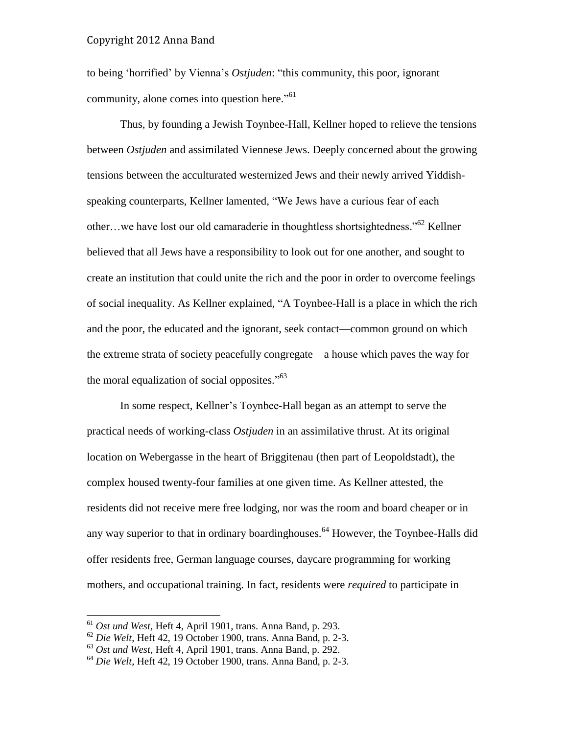to being 'horrified' by Vienna's *Ostjuden*: "this community, this poor, ignorant community, alone comes into question here."<sup>61</sup>

Thus, by founding a Jewish Toynbee-Hall, Kellner hoped to relieve the tensions between *Ostjuden* and assimilated Viennese Jews. Deeply concerned about the growing tensions between the acculturated westernized Jews and their newly arrived Yiddishspeaking counterparts, Kellner lamented, "We Jews have a curious fear of each other...we have lost our old camaraderie in thoughtless shortsightedness."<sup>62</sup> Kellner believed that all Jews have a responsibility to look out for one another, and sought to create an institution that could unite the rich and the poor in order to overcome feelings of social inequality. As Kellner explained, "A Toynbee-Hall is a place in which the rich and the poor, the educated and the ignorant, seek contact—common ground on which the extreme strata of society peacefully congregate—a house which paves the way for the moral equalization of social opposites."<sup>63</sup>

In some respect, Kellner's Toynbee-Hall began as an attempt to serve the practical needs of working-class *Ostjuden* in an assimilative thrust. At its original location on Webergasse in the heart of Briggitenau (then part of Leopoldstadt), the complex housed twenty-four families at one given time. As Kellner attested, the residents did not receive mere free lodging, nor was the room and board cheaper or in any way superior to that in ordinary boardinghouses.<sup>64</sup> However, the Toynbee-Halls did offer residents free, German language courses, daycare programming for working mothers, and occupational training. In fact, residents were *required* to participate in

<sup>61</sup> *Ost und West*, Heft 4, April 1901, trans. Anna Band, p. 293.

<sup>62</sup> *Die Welt*, Heft 42, 19 October 1900, trans. Anna Band, p. 2-3.

<sup>63</sup> *Ost und West*, Heft 4, April 1901, trans. Anna Band, p. 292.

<sup>64</sup> *Die Welt*, Heft 42, 19 October 1900, trans. Anna Band, p. 2-3.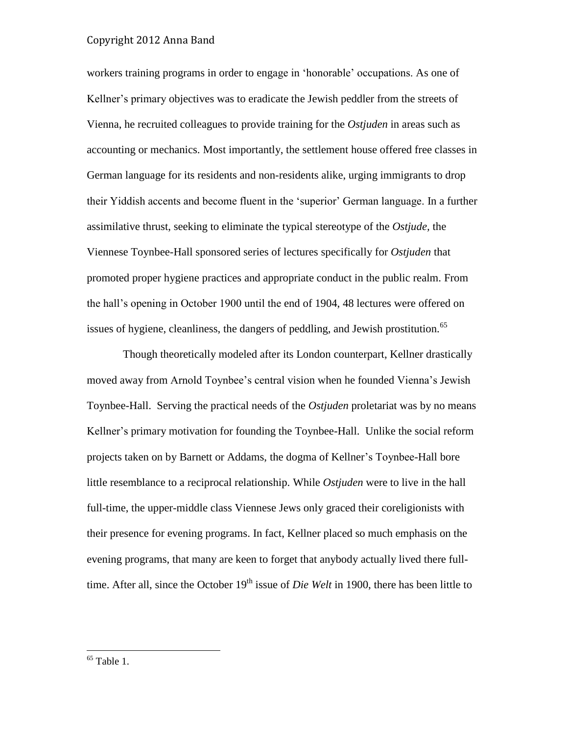workers training programs in order to engage in 'honorable' occupations. As one of Kellner's primary objectives was to eradicate the Jewish peddler from the streets of Vienna, he recruited colleagues to provide training for the *Ostjuden* in areas such as accounting or mechanics. Most importantly, the settlement house offered free classes in German language for its residents and non-residents alike, urging immigrants to drop their Yiddish accents and become fluent in the 'superior' German language. In a further assimilative thrust, seeking to eliminate the typical stereotype of the *Ostjude,* the Viennese Toynbee-Hall sponsored series of lectures specifically for *Ostjuden* that promoted proper hygiene practices and appropriate conduct in the public realm. From the hall's opening in October 1900 until the end of 1904, 48 lectures were offered on issues of hygiene, cleanliness, the dangers of peddling, and Jewish prostitution.<sup>65</sup>

Though theoretically modeled after its London counterpart, Kellner drastically moved away from Arnold Toynbee's central vision when he founded Vienna's Jewish Toynbee-Hall. Serving the practical needs of the *Ostjuden* proletariat was by no means Kellner's primary motivation for founding the Toynbee-Hall. Unlike the social reform projects taken on by Barnett or Addams, the dogma of Kellner's Toynbee-Hall bore little resemblance to a reciprocal relationship. While *Ostjuden* were to live in the hall full-time, the upper-middle class Viennese Jews only graced their coreligionists with their presence for evening programs. In fact, Kellner placed so much emphasis on the evening programs, that many are keen to forget that anybody actually lived there fulltime. After all, since the October 19<sup>th</sup> issue of *Die Welt* in 1900, there has been little to

 $65$  Table 1.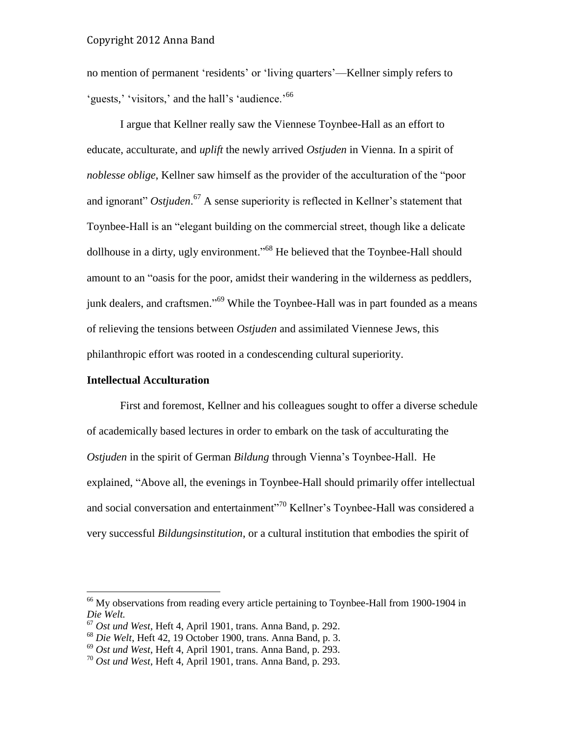no mention of permanent 'residents' or 'living quarters'—Kellner simply refers to 'guests,' 'visitors,' and the hall's 'audience.'<sup>66</sup>

I argue that Kellner really saw the Viennese Toynbee-Hall as an effort to educate, acculturate, and *uplift* the newly arrived *Ostjuden* in Vienna. In a spirit of *noblesse oblige*, Kellner saw himself as the provider of the acculturation of the "poor and ignorant" *Ostjuden*. <sup>67</sup> A sense superiority is reflected in Kellner's statement that Toynbee-Hall is an "elegant building on the commercial street, though like a delicate dollhouse in a dirty, ugly environment."<sup>68</sup> He believed that the Toynbee-Hall should amount to an "oasis for the poor, amidst their wandering in the wilderness as peddlers, junk dealers, and craftsmen."<sup>69</sup> While the Toynbee-Hall was in part founded as a means of relieving the tensions between *Ostjuden* and assimilated Viennese Jews, this philanthropic effort was rooted in a condescending cultural superiority.

#### **Intellectual Acculturation**

 $\overline{a}$ 

First and foremost, Kellner and his colleagues sought to offer a diverse schedule of academically based lectures in order to embark on the task of acculturating the *Ostjuden* in the spirit of German *Bildung* through Vienna's Toynbee-Hall. He explained, "Above all, the evenings in Toynbee-Hall should primarily offer intellectual and social conversation and entertainment"<sup>70</sup> Kellner's Toynbee-Hall was considered a very successful *Bildungsinstitution*, or a cultural institution that embodies the spirit of

<sup>&</sup>lt;sup>66</sup> My observations from reading every article pertaining to Toynbee-Hall from 1900-1904 in *Die Welt.*

<sup>67</sup> *Ost und West*, Heft 4, April 1901, trans. Anna Band, p. 292.

<sup>68</sup> *Die Welt*, Heft 42, 19 October 1900, trans. Anna Band, p. 3.

<sup>69</sup> *Ost und West*, Heft 4, April 1901, trans. Anna Band, p. 293.

<sup>70</sup> *Ost und West*, Heft 4, April 1901, trans. Anna Band, p. 293.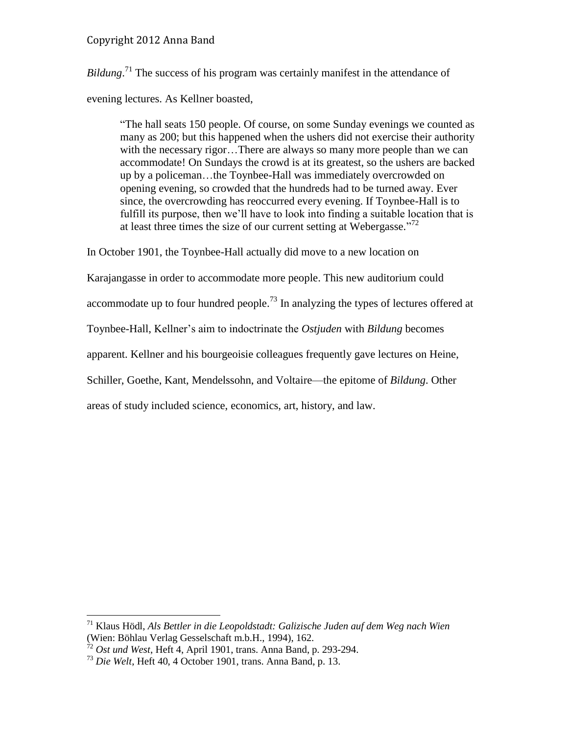*Bildung*.<sup>71</sup> The success of his program was certainly manifest in the attendance of evening lectures. As Kellner boasted,

"The hall seats 150 people. Of course, on some Sunday evenings we counted as many as 200; but this happened when the ushers did not exercise their authority with the necessary rigor…There are always so many more people than we can accommodate! On Sundays the crowd is at its greatest, so the ushers are backed up by a policeman…the Toynbee-Hall was immediately overcrowded on opening evening, so crowded that the hundreds had to be turned away. Ever since, the overcrowding has reoccurred every evening. If Toynbee-Hall is to fulfill its purpose, then we'll have to look into finding a suitable location that is at least three times the size of our current setting at Webergasse."<sup>72</sup>

In October 1901, the Toynbee-Hall actually did move to a new location on

Karajangasse in order to accommodate more people. This new auditorium could

accommodate up to four hundred people.<sup>73</sup> In analyzing the types of lectures offered at

Toynbee-Hall, Kellner's aim to indoctrinate the *Ostjuden* with *Bildung* becomes

apparent. Kellner and his bourgeoisie colleagues frequently gave lectures on Heine,

Schiller, Goethe, Kant, Mendelssohn, and Voltaire—the epitome of *Bildung*. Other

areas of study included science, economics, art, history, and law.

<sup>71</sup> Klaus Hödl, *Als Bettler in die Leopoldstadt: Galizische Juden auf dem Weg nach Wien* (Wien: Böhlau Verlag Gesselschaft m.b.H., 1994), 162.

<sup>72</sup> *Ost und West*, Heft 4, April 1901, trans. Anna Band, p. 293-294.

<sup>73</sup> *Die Welt*, Heft 40, 4 October 1901, trans. Anna Band, p. 13.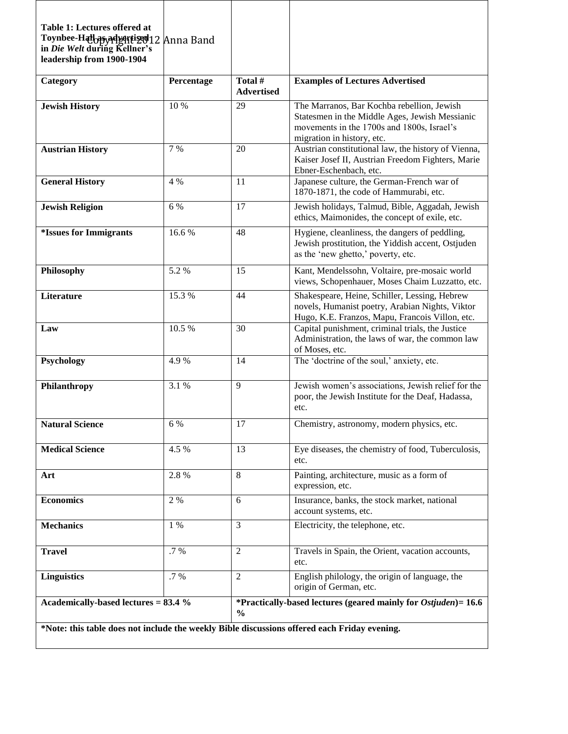| Table 1: Lectures offered at<br>Toynbee-Hatbasyadvartised12<br>in Die Welt during Kellner's<br>leadership from 1900-1904 | Anna Band  |                                                                                            |                                                                                                                                                                          |  |  |  |  |
|--------------------------------------------------------------------------------------------------------------------------|------------|--------------------------------------------------------------------------------------------|--------------------------------------------------------------------------------------------------------------------------------------------------------------------------|--|--|--|--|
| Category                                                                                                                 | Percentage | Total #<br><b>Advertised</b>                                                               | <b>Examples of Lectures Advertised</b>                                                                                                                                   |  |  |  |  |
| <b>Jewish History</b>                                                                                                    | 10 %       | 29                                                                                         | The Marranos, Bar Kochba rebellion, Jewish<br>Statesmen in the Middle Ages, Jewish Messianic<br>movements in the 1700s and 1800s, Israel's<br>migration in history, etc. |  |  |  |  |
| <b>Austrian History</b>                                                                                                  | 7 %        | 20                                                                                         | Austrian constitutional law, the history of Vienna,<br>Kaiser Josef II, Austrian Freedom Fighters, Marie<br>Ebner-Eschenbach, etc.                                       |  |  |  |  |
| <b>General History</b>                                                                                                   | 4 %        | 11                                                                                         | Japanese culture, the German-French war of<br>1870-1871, the code of Hammurabi, etc.                                                                                     |  |  |  |  |
| <b>Jewish Religion</b>                                                                                                   | 6 %        | 17                                                                                         | Jewish holidays, Talmud, Bible, Aggadah, Jewish<br>ethics, Maimonides, the concept of exile, etc.                                                                        |  |  |  |  |
| <i><b>*Issues for Immigrants</b></i>                                                                                     | 16.6%      | 48                                                                                         | Hygiene, cleanliness, the dangers of peddling,<br>Jewish prostitution, the Yiddish accent, Ostjuden<br>as the 'new ghetto,' poverty, etc.                                |  |  |  |  |
| Philosophy                                                                                                               | 5.2 %      | 15                                                                                         | Kant, Mendelssohn, Voltaire, pre-mosaic world<br>views, Schopenhauer, Moses Chaim Luzzatto, etc.                                                                         |  |  |  |  |
| Literature                                                                                                               | 15.3 %     | 44                                                                                         | Shakespeare, Heine, Schiller, Lessing, Hebrew<br>novels, Humanist poetry, Arabian Nights, Viktor<br>Hugo, K.E. Franzos, Mapu, Francois Villon, etc.                      |  |  |  |  |
| Law                                                                                                                      | 10.5 %     | 30                                                                                         | Capital punishment, criminal trials, the Justice<br>Administration, the laws of war, the common law<br>of Moses, etc.                                                    |  |  |  |  |
| Psychology                                                                                                               | 4.9%       | 14                                                                                         | The 'doctrine of the soul,' anxiety, etc.                                                                                                                                |  |  |  |  |
| Philanthropy                                                                                                             | 3.1 %      | 9                                                                                          | Jewish women's associations, Jewish relief for the<br>poor, the Jewish Institute for the Deaf, Hadassa,<br>etc.                                                          |  |  |  |  |
| <b>Natural Science</b>                                                                                                   | 6 %        | 17                                                                                         | Chemistry, astronomy, modern physics, etc.                                                                                                                               |  |  |  |  |
| <b>Medical Science</b>                                                                                                   | 4.5 %      | 13                                                                                         | Eye diseases, the chemistry of food, Tuberculosis,<br>etc.                                                                                                               |  |  |  |  |
| Art                                                                                                                      | 2.8 %      | $\,8\,$                                                                                    | Painting, architecture, music as a form of<br>expression, etc.                                                                                                           |  |  |  |  |
| <b>Economics</b>                                                                                                         | $2 \ \%$   | 6                                                                                          | Insurance, banks, the stock market, national<br>account systems, etc.                                                                                                    |  |  |  |  |
| <b>Mechanics</b>                                                                                                         | 1 %        | 3                                                                                          | Electricity, the telephone, etc.                                                                                                                                         |  |  |  |  |
| <b>Travel</b>                                                                                                            | $.7\%$     | $\overline{2}$                                                                             | Travels in Spain, the Orient, vacation accounts,<br>etc.                                                                                                                 |  |  |  |  |
| <b>Linguistics</b>                                                                                                       | $.7\ \%$   | 2                                                                                          | English philology, the origin of language, the<br>origin of German, etc.                                                                                                 |  |  |  |  |
| Academically-based lectures = 83.4 %                                                                                     |            | *Practically-based lectures (geared mainly for <i>Ostjuden</i> ) = $16.6$<br>$\frac{0}{0}$ |                                                                                                                                                                          |  |  |  |  |
| *Note: this table does not include the weekly Bible discussions offered each Friday evening.                             |            |                                                                                            |                                                                                                                                                                          |  |  |  |  |

Г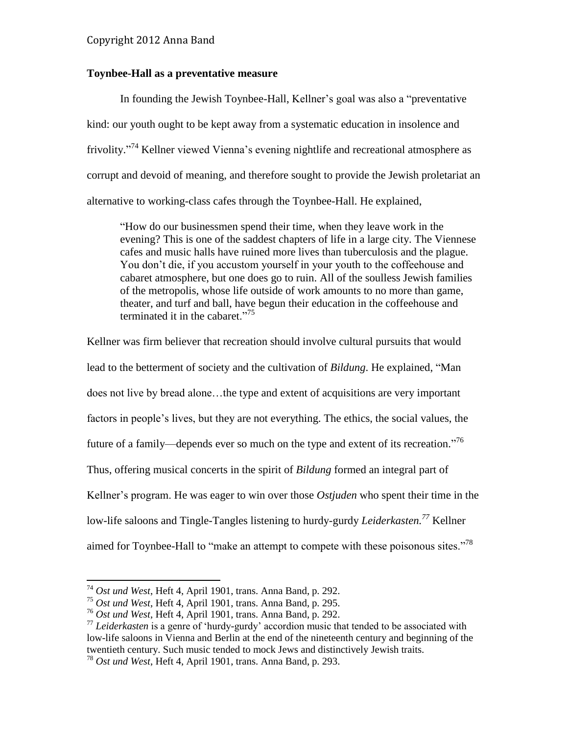#### **Toynbee-Hall as a preventative measure**

In founding the Jewish Toynbee-Hall, Kellner's goal was also a "preventative kind: our youth ought to be kept away from a systematic education in insolence and frivolity."<sup>74</sup> Kellner viewed Vienna's evening nightlife and recreational atmosphere as corrupt and devoid of meaning, and therefore sought to provide the Jewish proletariat an alternative to working-class cafes through the Toynbee-Hall. He explained,

"How do our businessmen spend their time, when they leave work in the evening? This is one of the saddest chapters of life in a large city. The Viennese cafes and music halls have ruined more lives than tuberculosis and the plague. You don't die, if you accustom yourself in your youth to the coffeehouse and cabaret atmosphere, but one does go to ruin. All of the soulless Jewish families of the metropolis, whose life outside of work amounts to no more than game, theater, and turf and ball, have begun their education in the coffeehouse and terminated it in the cabaret."<sup>75</sup>

Kellner was firm believer that recreation should involve cultural pursuits that would lead to the betterment of society and the cultivation of *Bildung*. He explained, "Man does not live by bread alone…the type and extent of acquisitions are very important factors in people's lives, but they are not everything. The ethics, the social values, the future of a family—depends ever so much on the type and extent of its recreation."<sup>76</sup> Thus, offering musical concerts in the spirit of *Bildung* formed an integral part of Kellner's program. He was eager to win over those *Ostjuden* who spent their time in the low-life saloons and Tingle-Tangles listening to hurdy-gurdy *Leiderkasten. <sup>77</sup>* Kellner aimed for Toynbee-Hall to "make an attempt to compete with these poisonous sites."<sup>78</sup>

<sup>74</sup> *Ost und West*, Heft 4, April 1901, trans. Anna Band, p. 292.

<sup>75</sup> *Ost und West*, Heft 4, April 1901, trans. Anna Band, p. 295.

<sup>76</sup> *Ost und West*, Heft 4, April 1901, trans. Anna Band, p. 292.

<sup>&</sup>lt;sup>77</sup> Leiderkasten is a genre of 'hurdy-gurdy' accordion music that tended to be associated with low-life saloons in Vienna and Berlin at the end of the nineteenth century and beginning of the twentieth century. Such music tended to mock Jews and distinctively Jewish traits.

<sup>78</sup> *Ost und West*, Heft 4, April 1901, trans. Anna Band, p. 293.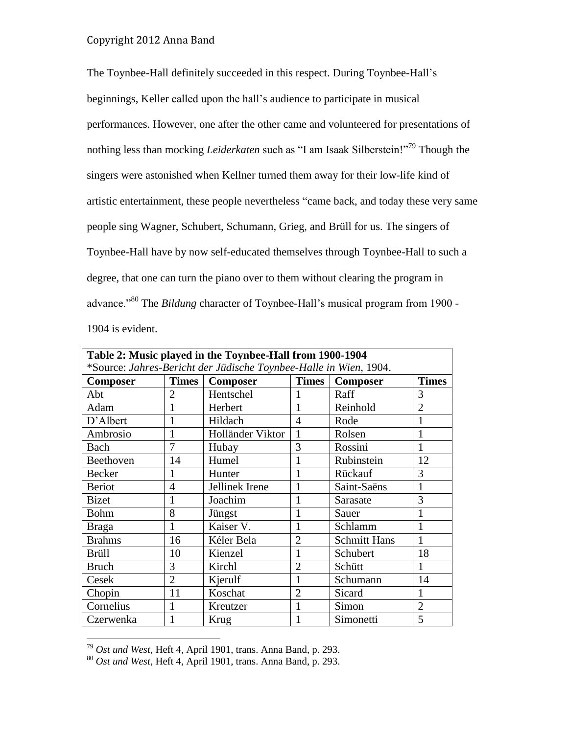The Toynbee-Hall definitely succeeded in this respect. During Toynbee-Hall's beginnings, Keller called upon the hall's audience to participate in musical performances. However, one after the other came and volunteered for presentations of nothing less than mocking *Leiderkaten* such as "I am Isaak Silberstein!"<sup>79</sup> Though the singers were astonished when Kellner turned them away for their low-life kind of artistic entertainment, these people nevertheless "came back, and today these very same people sing Wagner, Schubert, Schumann, Grieg, and Brüll for us. The singers of Toynbee-Hall have by now self-educated themselves through Toynbee-Hall to such a degree, that one can turn the piano over to them without clearing the program in advance."<sup>80</sup> The *Bildung* character of Toynbee-Hall's musical program from 1900 - 1904 is evident.

| Table 2: Music played in the Toynbee-Hall from 1900-1904          |                |                  |                |                     |                |  |  |  |
|-------------------------------------------------------------------|----------------|------------------|----------------|---------------------|----------------|--|--|--|
| *Source: Jahres-Bericht der Jüdische Toynbee-Halle in Wien, 1904. |                |                  |                |                     |                |  |  |  |
| <b>Composer</b>                                                   | <b>Times</b>   | <b>Composer</b>  | <b>Times</b>   | Composer            | <b>Times</b>   |  |  |  |
| Abt                                                               | $\overline{2}$ | Hentschel        |                | Raff                | 3              |  |  |  |
| Adam                                                              | 1              | Herbert          | 1              | Reinhold            | $\overline{2}$ |  |  |  |
| D'Albert                                                          | 1              | Hildach          | 4              | Rode                | 1              |  |  |  |
| Ambrosio                                                          | 1              | Holländer Viktor | 1              | Rolsen              | 1              |  |  |  |
| Bach                                                              | $\overline{7}$ | Hubay            | 3              | Rossini             | 1              |  |  |  |
| Beethoven                                                         | 14             | Humel            |                | Rubinstein          | 12             |  |  |  |
| Becker                                                            | 1              | Hunter           | 1              | Rückauf             | 3              |  |  |  |
| <b>Beriot</b>                                                     | 4              | Jellinek Irene   | 1              | Saint-Saëns         | 1              |  |  |  |
| <b>Bizet</b>                                                      | 1              | Joachim          | 1              | Sarasate            | 3              |  |  |  |
| <b>Bohm</b>                                                       | 8              | Jüngst           | 1              | Sauer               | 1              |  |  |  |
| <b>Braga</b>                                                      | 1              | Kaiser V.        | 1              | Schlamm             | 1              |  |  |  |
| <b>Brahms</b>                                                     | 16             | Kéler Bela       | $\overline{2}$ | <b>Schmitt Hans</b> | 1              |  |  |  |
| <b>Brüll</b>                                                      | 10             | Kienzel          | 1              | Schubert            | 18             |  |  |  |
| <b>Bruch</b>                                                      | 3              | Kirchl           | $\overline{2}$ | Schütt              | 1              |  |  |  |
| Cesek                                                             | $\overline{2}$ | Kjerulf          | 1              | Schumann            | 14             |  |  |  |
| Chopin                                                            | 11             | Koschat          | $\overline{2}$ | Sicard              | 1              |  |  |  |
| Cornelius                                                         | 1              | Kreutzer         | 1              | Simon               | $\overline{2}$ |  |  |  |
| Czerwenka                                                         |                | Krug             | 1              | Simonetti           | 5              |  |  |  |

<sup>79</sup> *Ost und West*, Heft 4, April 1901, trans. Anna Band, p. 293.

l

<sup>80</sup> *Ost und West*, Heft 4, April 1901, trans. Anna Band, p. 293.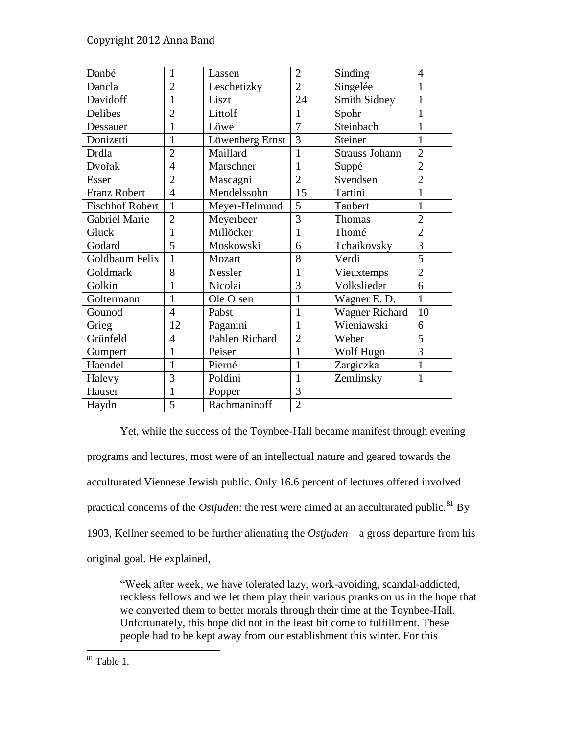| Danbé                  | $\mathbf{1}$   | Lassen          | $\overline{2}$ | Sinding               | 4              |
|------------------------|----------------|-----------------|----------------|-----------------------|----------------|
| Dancla                 | $\overline{2}$ | Leschetizky     | $\overline{2}$ | Singelée              | 1              |
| Davidoff               | 1              | Liszt           | 24             | <b>Smith Sidney</b>   | $\mathbf{1}$   |
| Delibes                | $\overline{2}$ | Littolf         | 1              | Spohr                 | $\mathbf{1}$   |
| Dessauer               | $\mathbf{1}$   | Löwe            | $\overline{7}$ | Steinbach             | $\mathbf{1}$   |
| Donizetti              | $\mathbf{1}$   | Löwenberg Ernst | $\overline{3}$ | Steiner               | 1              |
| Drdla                  | $\overline{2}$ | Maillard        | 1              | <b>Strauss Johann</b> | $\overline{2}$ |
| Dvořak                 | $\overline{4}$ | Marschner       | 1              | Suppé                 | $\overline{2}$ |
| Esser                  | $\overline{2}$ | Mascagni        | $\overline{2}$ | Svendsen              | $\overline{2}$ |
| <b>Franz Robert</b>    | $\overline{4}$ | Mendelssohn     | 15             | Tartini               | $\mathbf{1}$   |
| <b>Fischhof Robert</b> | $\mathbf{1}$   | Meyer-Helmund   | 5              | Taubert               | $\mathbf{1}$   |
| Gabriel Marie          | $\overline{2}$ | Meyerbeer       | 3              | Thomas                | $\overline{2}$ |
| Gluck                  | $\mathbf{1}$   | Millöcker       | 1              | Thomé                 | $\overline{2}$ |
| Godard                 | 5              | Moskowski       | 6              | Tchaikovsky           | 3              |
| Goldbaum Felix         | $\mathbf{1}$   | Mozart          | 8              | Verdi                 | $\overline{5}$ |
| Goldmark               | 8              | Nessler         | 1              | Vieuxtemps            | $\overline{2}$ |
| Golkin                 | 1              | Nicolai         | 3              | Volkslieder           | 6              |
| Goltermann             | $\overline{1}$ | Ole Olsen       | 1              | Wagner E. D.          | $\mathbf{1}$   |
| Gounod                 | $\overline{4}$ | Pabst           | 1              | <b>Wagner Richard</b> | 10             |
| Grieg                  | 12             | Paganini        | $\mathbf{1}$   | Wieniawski            | 6              |
| Grünfeld               | $\overline{4}$ | Pahlen Richard  | $\overline{2}$ | Weber                 | 5              |
| Gumpert                | 1              | Peiser          | 1              | Wolf Hugo             | 3              |
| Haendel                | $\overline{1}$ | Pierné          | 1              | Zargiczka             | $\mathbf{1}$   |
| Halevy                 | 3              | Poldini         | 1              | Zemlinsky             | $\mathbf{1}$   |
| Hauser                 | $\mathbf{1}$   | Popper          | $\overline{3}$ |                       |                |
| Haydn                  | 5              | Rachmaninoff    | $\overline{2}$ |                       |                |

Yet, while the success of the Toynbee-Hall became manifest through evening programs and lectures, most were of an intellectual nature and geared towards the acculturated Viennese Jewish public. Only 16.6 percent of lectures offered involved practical concerns of the *Ostjuden*: the rest were aimed at an acculturated public.<sup>81</sup> By 1903, Kellner seemed to be further alienating the *Ostjuden*—a gross departure from his original goal. He explained,

"Week after week, we have tolerated lazy, work-avoiding, scandal-addicted, reckless fellows and we let them play their various pranks on us in the hope that we converted them to better morals through their time at the Toynbee-Hall. Unfortunately, this hope did not in the least bit come to fulfillment. These people had to be kept away from our establishment this winter. For this

 $\overline{a}$  $81$  Table 1.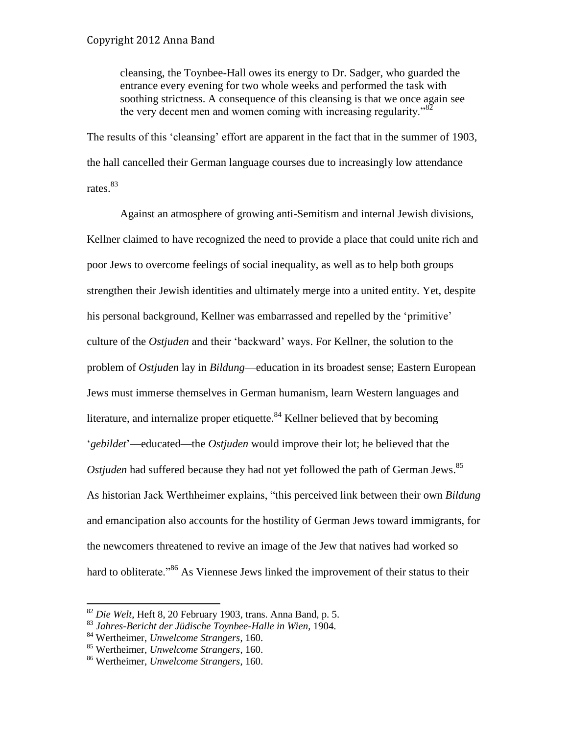cleansing, the Toynbee-Hall owes its energy to Dr. Sadger, who guarded the entrance every evening for two whole weeks and performed the task with soothing strictness. A consequence of this cleansing is that we once again see the very decent men and women coming with increasing regularity.<sup>82</sup>

The results of this 'cleansing' effort are apparent in the fact that in the summer of 1903, the hall cancelled their German language courses due to increasingly low attendance rates.<sup>83</sup>

Against an atmosphere of growing anti-Semitism and internal Jewish divisions, Kellner claimed to have recognized the need to provide a place that could unite rich and poor Jews to overcome feelings of social inequality, as well as to help both groups strengthen their Jewish identities and ultimately merge into a united entity. Yet, despite his personal background, Kellner was embarrassed and repelled by the 'primitive' culture of the *Ostjuden* and their 'backward' ways. For Kellner, the solution to the problem of *Ostjuden* lay in *Bildung*—education in its broadest sense; Eastern European Jews must immerse themselves in German humanism, learn Western languages and literature, and internalize proper etiquette.<sup>84</sup> Kellner believed that by becoming '*gebildet*'—educated—the *Ostjuden* would improve their lot; he believed that the *Ostjuden* had suffered because they had not yet followed the path of German Jews. 85 As historian Jack Werthheimer explains, "this perceived link between their own *Bildung* and emancipation also accounts for the hostility of German Jews toward immigrants, for the newcomers threatened to revive an image of the Jew that natives had worked so hard to obliterate."<sup>86</sup> As Viennese Jews linked the improvement of their status to their

<sup>82</sup> *Die Welt*, Heft 8, 20 February 1903, trans. Anna Band, p. 5.

<sup>83</sup> *Jahres-Bericht der Jüdische Toynbee-Halle in Wien*, 1904.

<sup>84</sup> Wertheimer, *Unwelcome Strangers*, 160.

<sup>85</sup> Wertheimer, *Unwelcome Strangers*, 160.

<sup>86</sup> Wertheimer, *Unwelcome Strangers*, 160.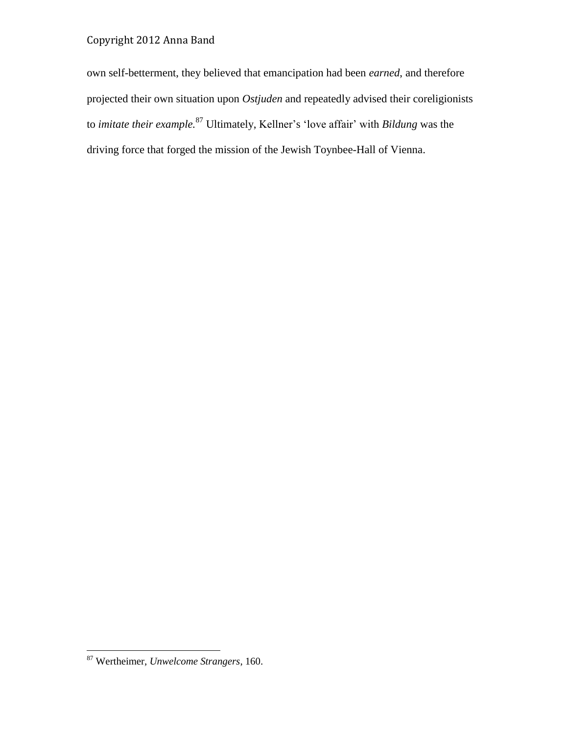own self-betterment, they believed that emancipation had been *earned*, and therefore projected their own situation upon *Ostjuden* and repeatedly advised their coreligionists to *imitate their example.* <sup>87</sup> Ultimately, Kellner's 'love affair' with *Bildung* was the driving force that forged the mission of the Jewish Toynbee-Hall of Vienna.

<sup>87</sup> Wertheimer, *Unwelcome Strangers*, 160.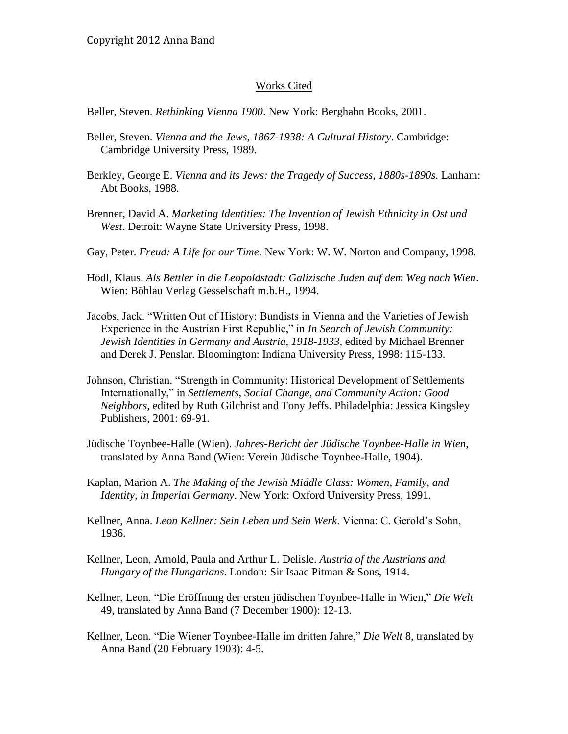#### Works Cited

Beller, Steven. *Rethinking Vienna 1900*. New York: Berghahn Books, 2001.

- Beller, Steven. *Vienna and the Jews, 1867-1938: A Cultural History*. Cambridge: Cambridge University Press, 1989.
- Berkley, George E. *Vienna and its Jews: the Tragedy of Success, 1880s-1890s*. Lanham: Abt Books, 1988.
- Brenner, David A. *Marketing Identities: The Invention of Jewish Ethnicity in Ost und West*. Detroit: Wayne State University Press, 1998.
- Gay, Peter. *Freud: A Life for our Time*. New York: W. W. Norton and Company, 1998.
- Hödl, Klaus. *Als Bettler in die Leopoldstadt: Galizische Juden auf dem Weg nach Wien*. Wien: Böhlau Verlag Gesselschaft m.b.H., 1994.
- Jacobs, Jack. "Written Out of History: Bundists in Vienna and the Varieties of Jewish Experience in the Austrian First Republic," in *In Search of Jewish Community: Jewish Identities in Germany and Austria, 1918-1933*, edited by Michael Brenner and Derek J. Penslar. Bloomington: Indiana University Press, 1998: 115-133.
- Johnson, Christian. "Strength in Community: Historical Development of Settlements Internationally," in *Settlements, Social Change, and Community Action: Good Neighbors,* edited by Ruth Gilchrist and Tony Jeffs. Philadelphia: Jessica Kingsley Publishers, 2001: 69-91.
- Jüdische Toynbee-Halle (Wien). *Jahres-Bericht der Jüdische Toynbee-Halle in Wien*, translated by Anna Band (Wien: Verein Jüdische Toynbee-Halle, 1904).
- Kaplan, Marion A. *The Making of the Jewish Middle Class: Women, Family, and Identity, in Imperial Germany*. New York: Oxford University Press, 1991.
- Kellner, Anna. *Leon Kellner: Sein Leben und Sein Werk*. Vienna: C. Gerold's Sohn, 1936.
- Kellner, Leon, Arnold, Paula and Arthur L. Delisle. *Austria of the Austrians and Hungary of the Hungarians*. London: Sir Isaac Pitman & Sons, 1914.
- Kellner, Leon. "Die Eröffnung der ersten jüdischen Toynbee-Halle in Wien," *Die Welt* 49, translated by Anna Band (7 December 1900): 12-13.
- Kellner, Leon. "Die Wiener Toynbee-Halle im dritten Jahre," *Die Welt* 8, translated by Anna Band (20 February 1903): 4-5.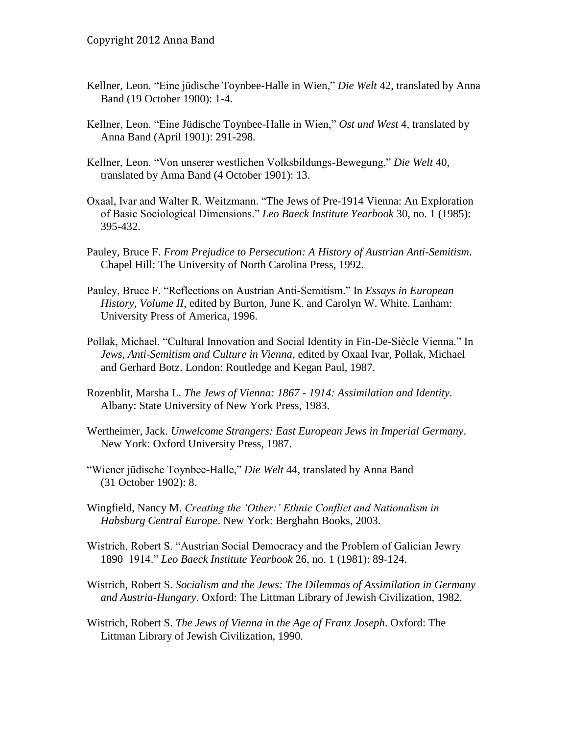- Kellner, Leon. "Eine jüdische Toynbee-Halle in Wien," *Die Welt* 42, translated by Anna Band (19 October 1900): 1-4.
- Kellner, Leon. "Eine Jüdische Toynbee-Halle in Wien," *Ost und West* 4, translated by Anna Band (April 1901): 291-298.
- Kellner, Leon. "Von unserer westlichen Volksbildungs-Bewegung," *Die Welt* 40, translated by Anna Band (4 October 1901): 13.
- Oxaal, Ivar and Walter R. Weitzmann. "The Jews of Pre-1914 Vienna: An Exploration of Basic Sociological Dimensions." *Leo Baeck Institute Yearbook* 30, no. 1 (1985): 395-432.
- Pauley, Bruce F. *From Prejudice to Persecution: A History of Austrian Anti-Semitism*. Chapel Hill: The University of North Carolina Press, 1992.
- Pauley, Bruce F. "Reflections on Austrian Anti-Semitism." In *Essays in European History, Volume II*, edited by Burton, June K. and Carolyn W. White. Lanham: University Press of America, 1996.
- Pollak, Michael. "Cultural Innovation and Social Identity in Fin-De-Siècle Vienna." In *Jews, Anti-Semitism and Culture in Vienna*, edited by Oxaal Ivar, Pollak, Michael and Gerhard Botz. London: Routledge and Kegan Paul, 1987.
- Rozenblit, Marsha L. *The Jews of Vienna: 1867 - 1914: Assimilation and Identity.* Albany: State University of New York Press, 1983.
- Wertheimer, Jack. *Unwelcome Strangers: East European Jews in Imperial Germany*. New York: Oxford University Press, 1987.
- "Wiener jüdische Toynbee-Halle," *Die Welt* 44, translated by Anna Band (31 October 1902): 8.
- Wingfield, Nancy M. *Creating the 'Other:' Ethnic Conflict and Nationalism in Habsburg Central Europe*. New York: Berghahn Books, 2003.
- Wistrich, Robert S. "Austrian Social Democracy and the Problem of Galician Jewry 1890–1914." *Leo Baeck Institute Yearbook* 26, no. 1 (1981): 89-124.
- Wistrich, Robert S. *Socialism and the Jews: The Dilemmas of Assimilation in Germany and Austria-Hungary*. Oxford: The Littman Library of Jewish Civilization, 1982.
- Wistrich, Robert S. *The Jews of Vienna in the Age of Franz Joseph*. Oxford: The Littman Library of Jewish Civilization, 1990.